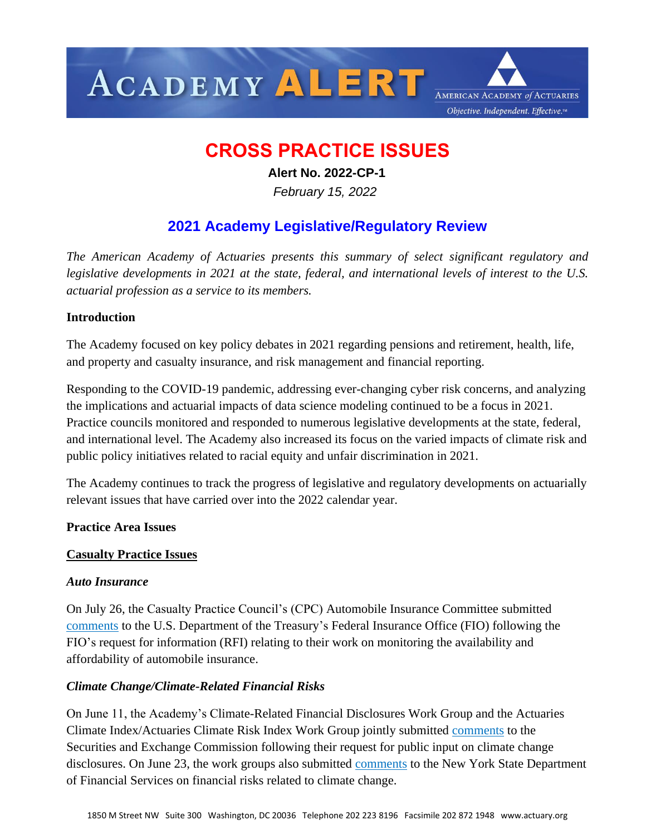

# **CROSS PRACTICE ISSUES**

 **Alert No. 2022-CP-1**

 *February 15, 2022*

## **2021 Academy Legislative/Regulatory Review**

*The American Academy of Actuaries presents this summary of select significant regulatory and legislative developments in 2021 at the state, federal, and international levels of interest to the U.S. actuarial profession as a service to its members.*

## **Introduction**

The Academy focused on key policy debates in 2021 regarding pensions and retirement, health, life, and property and casualty insurance, and risk management and financial reporting.

Responding to the COVID-19 pandemic, addressing ever-changing cyber risk concerns, and analyzing the implications and actuarial impacts of data science modeling continued to be a focus in 2021. Practice councils monitored and responded to numerous legislative developments at the state, federal, and international level. The Academy also increased its focus on the varied impacts of climate risk and public policy initiatives related to racial equity and unfair discrimination in 2021.

The Academy continues to track the progress of legislative and regulatory developments on actuarially relevant issues that have carried over into the 2022 calendar year.

## **Practice Area Issues**

## **Casualty Practice Issues**

## *Auto Insurance*

On July 26, the Casualty Practice Council's (CPC) Automobile Insurance Committee submitted [comments](https://www.actuary.org/sites/default/files/2021-07/American_Academy_of_Actuaries_FIO_RFI_07262021.pdf) to the U.S. Department of the Treasury's Federal Insurance Office (FIO) following the FIO's request for information (RFI) relating to their work on monitoring the availability and affordability of automobile insurance.

## *Climate Change/Climate-Related Financial Risks*

On June 11, the Academy's Climate-Related Financial Disclosures Work Group and the Actuaries Climate Index/Actuaries Climate Risk Index Work Group jointly submitted [comments](https://www.actuary.org/sites/default/files/2021-06/AAA_Joint_Letter_to_SEC_Climate_Risks_061121.pdf) to the Securities and Exchange Commission following their request for public input on climate change disclosures. On June 23, the work groups also submitted [comments](https://www.actuary.org/sites/default/files/2021-06/AAA_Joint_Climate_Letter_NYS_DFS_062321.pdf) to the New York State Department of Financial Services on financial risks related to climate change.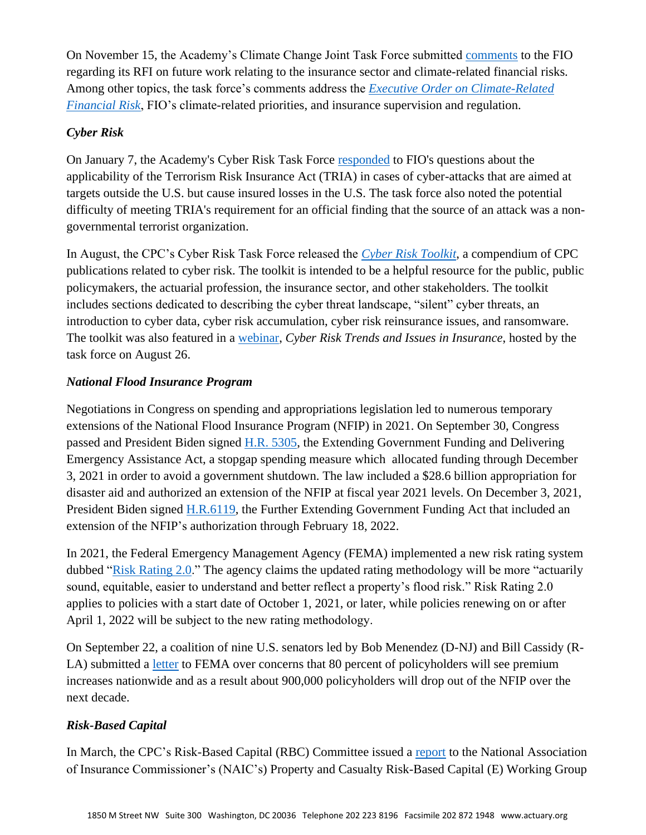On November 15, the Academy's Climate Change Joint Task Force submitted [comments](https://www.actuary.org/sites/default/files/2021-11/11152021_FIO_RFI_Climate-Related_Financial_Risks.pdf) to the FIO regarding its RFI on future work relating to the insurance sector and climate-related financial risks. Among other topics, the task force's comments address the *[Executive Order on Climate-Related](https://www.whitehouse.gov/briefing-room/presidential-actions/2021/05/20/executive-order-on-climate-related-financial-risk/)  [Financial Risk](https://www.whitehouse.gov/briefing-room/presidential-actions/2021/05/20/executive-order-on-climate-related-financial-risk/)*, FIO's climate-related priorities, and insurance supervision and regulation.

## *Cyber Risk*

On January 7, the Academy's Cyber Risk Task Force [responded](https://www.actuary.org/sites/default/files/2021-01/Cyber_TRIA_Academy_Comment_Letter.pdf) to FIO's questions about the applicability of the Terrorism Risk Insurance Act (TRIA) in cases of cyber-attacks that are aimed at targets outside the U.S. but cause insured losses in the U.S. The task force also noted the potential difficulty of meeting TRIA's requirement for an official finding that the source of an attack was a nongovernmental terrorist organization.

In August, the CPC's Cyber Risk Task Force released the *[Cyber Risk Toolkit](https://www.actuary.org/sites/default/files/2021-08/CyberRiskToolkit.pdf)*, a compendium of CPC publications related to cyber risk. The toolkit is intended to be a helpful resource for the public, public policymakers, the actuarial profession, the insurance sector, and other stakeholders. The toolkit includes sections dedicated to describing the cyber threat landscape, "silent" cyber threats, an introduction to cyber data, cyber risk accumulation, cyber risk reinsurance issues, and ransomware. The toolkit was also featured in a [webinar,](https://www.actuary.org/node/14533) *Cyber Risk Trends and Issues in Insurance*, hosted by the task force on August 26.

## *National Flood Insurance Program*

Negotiations in Congress on spending and appropriations legislation led to numerous temporary extensions of the National Flood Insurance Program (NFIP) in 2021. On September 30, Congress passed and President Biden signed [H.R. 5305,](https://www.congress.gov/117/plaws/publ43/PLAW-117publ43.pdf) the Extending Government Funding and Delivering Emergency Assistance Act, a stopgap spending measure which allocated funding through December 3, 2021 in order to avoid a government shutdown. The law included a \$28.6 billion appropriation for disaster aid and authorized an extension of the NFIP at fiscal year 2021 levels. On December 3, 2021, President Biden signed [H.R.6119,](https://www.congress.gov/117/plaws/publ70/PLAW-117publ70.pdf) the Further Extending Government Funding Act that included an extension of the NFIP's authorization through February 18, 2022.

In 2021, the Federal Emergency Management Agency (FEMA) implemented a new risk rating system dubbed ["Risk Rating 2.0.](https://www.fema.gov/flood-insurance/risk-rating)" The agency claims the updated rating methodology will be more "actuarily sound, equitable, easier to understand and better reflect a property's flood risk." Risk Rating 2.0 applies to policies with a start date of October 1, 2021, or later, while policies renewing on or after April 1, 2022 will be subject to the new rating methodology.  

On September 22, a coalition of nine U.S. senators led by Bob Menendez (D-NJ) and Bill Cassidy (RLA) submitted a [letter](https://www.menendez.senate.gov/imo/media/doc/rr_2.0letter.pdf) to FEMA over concerns that 80 percent of policyholders will see premium increases nationwide and as a result about 900,000 policyholders will drop out of the NFIP over the next decade.

## *Risk-Based Capital*

In March, the CPC's Risk-Based Capital (RBC) Committee issued a [report](https://www.actuary.org/sites/default/files/2021-04/PC-RBC-UW-Factors-2021-Apr.pdf) to the National Association of Insurance Commissioner's (NAIC's) Property and Casualty Risk-Based Capital (E) Working Group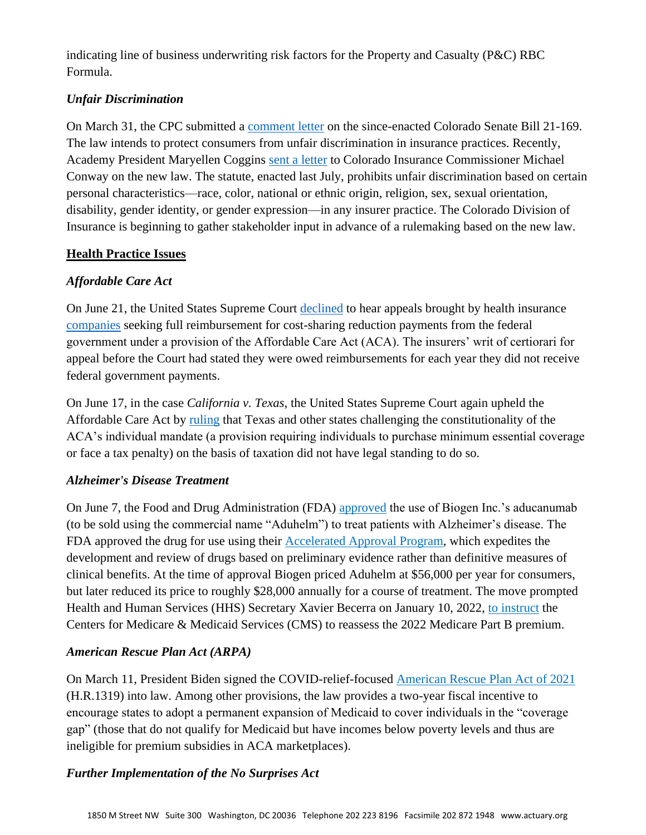indicating line of business underwriting risk factors for the Property and Casualty (P&C) RBC Formula.

## *Unfair Discrimination*

On March 31, the CPC submitted a [comment letter](https://www.actuary.org/sites/default/files/2021-03/CPC-Comments-CO-SB-21-169.pdf) on the since-enacted Colorado Senate Bill 21-169. The law intends to protect consumers from unfair discrimination in insurance practices. Recently, Academy President Maryellen Coggins [sent a letter](https://www.actuary.org/sites/default/files/2022-02/Academy_Comments_CO_DOI_02.04.22.pdf) to Colorado Insurance Commissioner Michael Conway on the new law. The statute, enacted last July, prohibits unfair discrimination based on certain personal characteristics—race, color, national or ethnic origin, religion, sex, sexual orientation, disability, gender identity, or gender expression—in any insurer practice. The Colorado Division of Insurance is beginning to gather stakeholder input in advance of a rulemaking based on the new law.

## **Health Practice Issues**

## *Affordable Care Act*

On June 21, the United States Supreme Court [declined](https://www.supremecourt.gov/orders/courtorders/062121zor_4f14.pdf) to hear appeals brought by health insurance [companies](https://www.supremecourt.gov/search.aspx?filename=/docket/docketfiles/html/public/20-1200.html) seeking full reimbursement for cost-sharing reduction payments from the federal government under a provision of the Affordable Care Act (ACA). The insurers' writ of certiorari for appeal before the Court had stated they were owed reimbursements for each year they did not receive federal government payments.

On June 17, in the case *California v. Texas*, the United States Supreme Court again upheld the Affordable Care Act by [ruling](https://www.supremecourt.gov/opinions/20pdf/19-840_6jfm.pdf) that Texas and other states challenging the constitutionality of the ACA's individual mandate (a provision requiring individuals to purchase minimum essential coverage or face a tax penalty) on the basis of taxation did not have legal standing to do so.

## *Alzheimer's Disease Treatment*

On June 7, the Food and Drug Administration (FDA) [approved](https://www.fda.gov/news-events/press-announcements/fda-grants-accelerated-approval-alzheimers-drug) the use of Biogen Inc.'s aducanumab (to be sold using the commercial name "Aduhelm") to treat patients with Alzheimer's disease. The FDA approved the drug for use using their [Accelerated Approval Program,](https://www.fda.gov/patients/fast-track-breakthrough-therapy-accelerated-approval-priority-review/accelerated-approval) which expedites the development and review of drugs based on preliminary evidence rather than definitive measures of clinical benefits. At the time of approval Biogen priced Aduhelm at \$56,000 per year for consumers, but later reduced its price to roughly \$28,000 annually for a course of treatment. The move prompted Health and Human Services (HHS) Secretary Xavier Becerra on January 10, 2022, [to instruct](https://www.hhs.gov/about/news/2022/01/10/hhs-secretary-xavier-becerra-instructs-cms-reassess-recommendation-2022-medicare-part-b-premium.html) the Centers for Medicare & Medicaid Services (CMS) to reassess the 2022 Medicare Part B premium.

## *American Rescue Plan Act (ARPA)*

On March 11, President Biden signed the COVID-relief-focused [American Rescue Plan Act of 2021](https://www.congress.gov/117/bills/hr1319/BILLS-117hr1319enr.pdf) (H.R.1319) into law. Among other provisions, the law provides a two-year fiscal incentive to encourage states to adopt a permanent expansion of Medicaid to cover individuals in the "coverage gap" (those that do not qualify for Medicaid but have incomes below poverty levels and thus are ineligible for premium subsidies in ACA marketplaces).

## *Further Implementation of the No Surprises Act*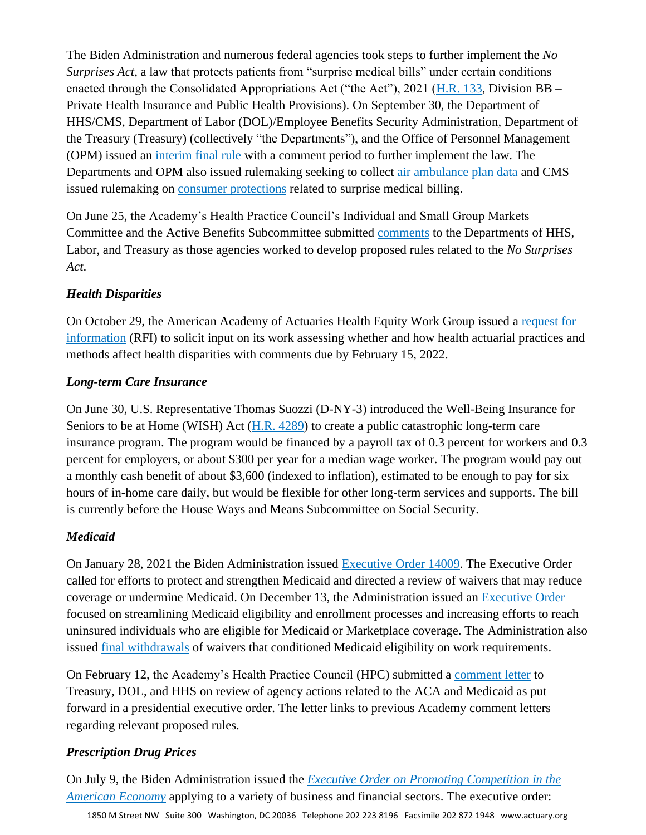The Biden Administration and numerous federal agencies took steps to further implement the *No Surprises Act*, a law that protects patients from "surprise medical bills" under certain conditions enacted through the Consolidated Appropriations Act ("the Act"), 2021 [\(H.R. 133,](https://www.govinfo.gov/content/pkg/BILLS-116hr133enr/pdf/BILLS-116hr133enr.pdf) Division BB – Private Health Insurance and Public Health Provisions). On September 30, the Department of HHS/CMS, Department of Labor (DOL)/Employee Benefits Security Administration, Department of the Treasury (Treasury) (collectively "the Departments"), and the Office of Personnel Management (OPM) issued an [interim final rule](https://www.govinfo.gov/content/pkg/FR-2021-10-07/pdf/2021-21441.pdf) with a comment period to further implement the law. The Departments and OPM also issued rulemaking seeking to collect [air ambulance plan data](https://public-inspection.federalregister.gov/2021-19797.pdf) and CMS issued rulemaking on consumer [protections](https://www.cms.gov/files/document/cms-9909-ifc-surprise-billing-disclaimer-50.pdf) related to surprise medical billing.

On June 25, the Academy's Health Practice Council's Individual and Small Group Markets Committee and the Active Benefits Subcommittee submitted [comments](https://www.actuary.org/sites/default/files/2021-06/American_Academy_of_Actuaries_Comment_Letter_Surprise_Billing_06.25.21.pdf) to the Departments of HHS, Labor, and Treasury as those agencies worked to develop proposed rules related to the *No Surprises Act*.

## *Health Disparities*

On October 29, the American Academy of Actuaries Health Equity Work Group issued a [request for](https://www.actuary.org/sites/default/files/2021-10/Academy_HEWG_RFI_10.29.2021.pdf)  [information](https://www.actuary.org/sites/default/files/2021-10/Academy_HEWG_RFI_10.29.2021.pdf) (RFI) to solicit input on its work assessing whether and how health actuarial practices and methods affect health disparities with comments due by February 15, 2022.

## *Long-term Care Insurance*

On June 30, U.S. Representative Thomas Suozzi (D-NY-3) introduced the Well-Being Insurance for Seniors to be at Home (WISH) Act [\(H.R. 4289\)](https://suozzi.house.gov/sites/suozzi.house.gov/files/WISHActBillText.pdf) to create a public catastrophic long-term care insurance program. The program would be financed by a payroll tax of 0.3 percent for workers and 0.3 percent for employers, or about \$300 per year for a median wage worker. The program would pay out a monthly cash benefit of about \$3,600 (indexed to inflation), estimated to be enough to pay for six hours of in-home care daily, but would be flexible for other long-term services and supports. The bill is currently before the House Ways and Means Subcommittee on Social Security.

## *Medicaid*

On January 28, 2021 the Biden Administration issued [Executive Order 14009.](https://www.govinfo.gov/content/pkg/FR-2021-02-02/pdf/2021-02252.pdf) The Executive Order called for efforts to protect and strengthen Medicaid and directed a review of waivers that may reduce coverage or undermine Medicaid. On December 13, the Administration issued an [Executive Order](https://www.whitehouse.gov/briefing-room/presidential-actions/2021/12/13/executive-order-on-transforming-federal-customer-experience-and-service-delivery-to-rebuild-trust-in-government/) focused on streamlining Medicaid eligibility and enrollment processes and increasing efforts to reach uninsured individuals who are eligible for Medicaid or Marketplace coverage. The Administration also issued [final withdrawals](https://www.kff.org/medicaid/issue-brief/medicaid-waiver-tracker-approved-and-pending-section-1115-waivers-by-state/) of waivers that conditioned Medicaid eligibility on work requirements.

On February 12, the Academy's Health Practice Council (HPC) submitted a [comment letter](https://www.actuary.org/sites/default/files/2021-02/American_Academy_of_Actuaries_Comment_Letter_on_EO_Regulatory_Review.pdf) to Treasury, DOL, and HHS on review of agency actions related to the ACA and Medicaid as put forward in a presidential executive order. The letter links to previous Academy comment letters regarding relevant proposed rules.

## *Prescription Drug Prices*

On July 9, the Biden Administration issued the *[Executive Order on Promoting Competition in the](https://www.whitehouse.gov/briefing-room/presidential-actions/2021/07/09/executive-order-on-promoting-competition-in-the-american-economy/)  [American Economy](https://www.whitehouse.gov/briefing-room/presidential-actions/2021/07/09/executive-order-on-promoting-competition-in-the-american-economy/)* applying to a variety of business and financial sectors. The executive order: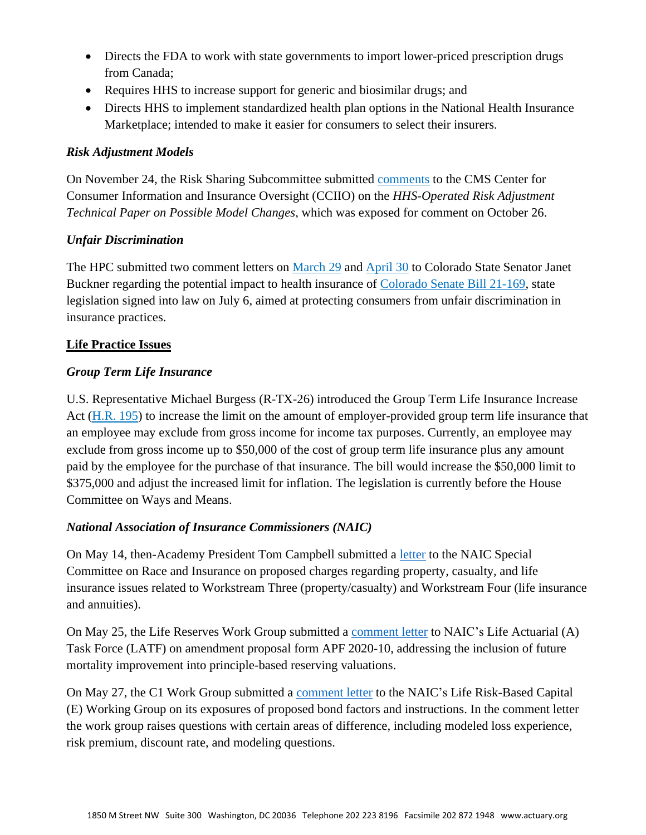- Directs the FDA to work with state governments to import lower-priced prescription drugs from Canada;
- Requires HHS to increase support for generic and biosimilar drugs; and
- Directs HHS to implement standardized health plan options in the National Health Insurance Marketplace; intended to make it easier for consumers to select their insurers.

## *Risk Adjustment Models*

On November 24, the Risk Sharing Subcommittee submitted [comments](https://www.actuary.org/sites/default/files/2021-11/Academy_Comment_Letter_CCIIO_RA_Technical_Paper_11.24.21.pdf) to the CMS Center for Consumer Information and Insurance Oversight (CCIIO) on the *HHS-Operated Risk Adjustment Technical Paper on Possible Model Changes*, which was exposed for comment on October 26.

## *Unfair Discrimination*

The HPC submitted two comment letters on [March 29](https://www.actuary.org/sites/default/files/2021-03/Academy_HPC_Comment_Letter_CO_SB_21-169.pdf) and [April 30](https://www.actuary.org/sites/default/files/2021-04/American_Academy_of_Actuaries_Health_Practice_Comments_Rev_CO_Sen_21-169_4.30.21.pdf) to Colorado State Senator Janet Buckner regarding the potential impact to health insurance of [Colorado Senate Bill 21-169,](https://leg.colorado.gov/sites/default/files/2021a_169_signed.pdf) state legislation signed into law on July 6, aimed at protecting consumers from unfair discrimination in insurance practices.

## **Life Practice Issues**

## *Group Term Life Insurance*

U.S. Representative Michael Burgess (R-TX-26) introduced the Group Term Life Insurance Increase Act [\(H.R. 195\)](https://www.congress.gov/117/bills/hr195/BILLS-117hr195ih.pdf) to increase the limit on the amount of employer-provided group term life insurance that an employee may exclude from gross income for income tax purposes. Currently, an employee may exclude from gross income up to \$50,000 of the cost of group term life insurance plus any amount paid by the employee for the purchase of that insurance. The bill would increase the \$50,000 limit to \$375,000 and adjust the increased limit for inflation. The legislation is currently before the House Committee on Ways and Means.

## *National Association of Insurance Commissioners (NAIC)*

On May 14, then-Academy President Tom Campbell submitted a [letter](https://www.actuary.org/sites/default/files/2021-05/AMERICAN_ACADEMY_of_ACTUARIES_NAIC_SCORI_Charges_Comments_5%20.14.pdf) to the NAIC Special Committee on Race and Insurance on proposed charges regarding property, casualty, and life insurance issues related to Workstream Three (property/casualty) and Workstream Four (life insurance and annuities).

On May 25, the Life Reserves Work Group submitted a [comment letter](https://www.actuary.org/sites/default/files/2021-05/Academy_LRWG_Comment_Letter_on_APF_2020-10.pdf) to NAIC's Life Actuarial (A) Task Force (LATF) on amendment proposal form APF 2020-10, addressing the inclusion of future mortality improvement into principle-based reserving valuations.

On May 27, the C1 Work Group submitted a [comment letter](https://www.actuary.org/sites/default/files/2021-05/Academy_C1WG_Letter_to_LRBC_5.27.2021.pdf) to the NAIC's Life Risk-Based Capital (E) Working Group on its exposures of proposed bond factors and instructions. In the comment letter the work group raises questions with certain areas of difference, including modeled loss experience, risk premium, discount rate, and modeling questions.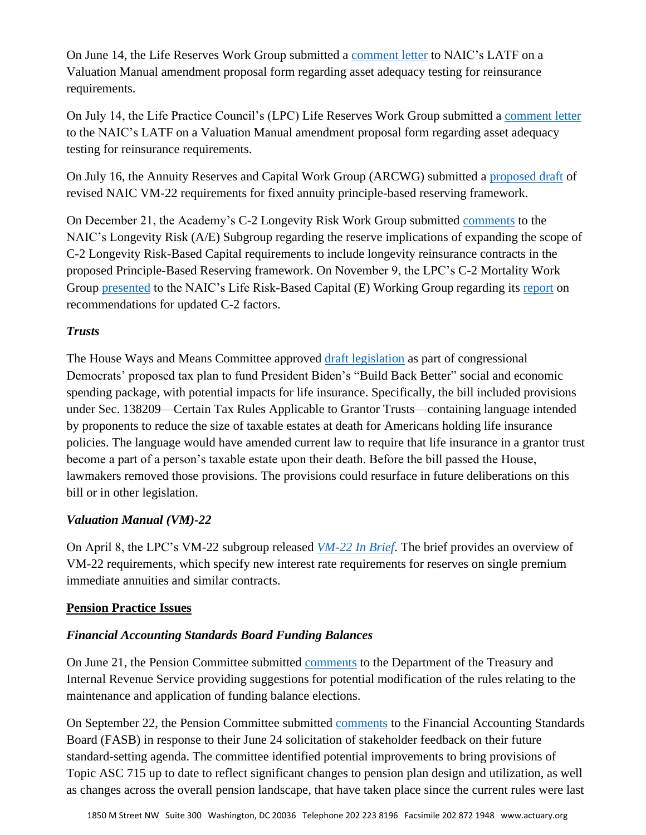On June 14, the Life Reserves Work Group submitted a [comment letter](https://www.actuary.org/sites/default/files/2021-06/LRWG_Comment_Letter_on_APF_2019-34.pdf) to NAIC's LATF on a Valuation Manual amendment proposal form regarding asset adequacy testing for reinsurance requirements.

On July 14, the Life Practice Council's (LPC) Life Reserves Work Group submitted a [comment letter](https://www.actuary.org/sites/default/files/2021-06/LRWG_Comment_Letter_on_APF_2019-34.pdf) to the NAIC's LATF on a Valuation Manual amendment proposal form regarding asset adequacy testing for reinsurance requirements.

On July 16, the Annuity Reserves and Capital Work Group (ARCWG) submitted a [proposed draft](https://www.actuary.org/sites/default/files/2021-07/ARCWG_VM_22_Draft_Proposal_July_2021_Combined.pdf) of revised NAIC VM-22 requirements for fixed annuity principle-based reserving framework.

On December 21, the Academy's C-2 Longevity Risk Work Group submitted [comments](https://www.actuary.org/sites/default/files/2021-12/C2_LRWG_Reserve_Implications_Letter.pdf) to the NAIC's Longevity Risk (A/E) Subgroup regarding the reserve implications of expanding the scope of C-2 Longevity Risk-Based Capital requirements to include longevity reinsurance contracts in the proposed Principle-Based Reserving framework. On November 9, the LPC's C-2 Mortality Work Group [presented](https://www.actuary.org/sites/default/files/NAIC_Life_RBC_C2_Recommendation_November_2021_Final.pdf) to the NAIC's Life Risk-Based Capital (E) Working Group regarding its [report](https://www.actuary.org/sites/default/files/Academy_C2_Mortality_Risk_Work_Group_Report_to_LRBC_November_2021_Final.pdf) on recommendations for updated C-2 factors.

## *Trusts*

The House Ways and Means Committee approved [draft legislation](https://waysandmeans.house.gov/sites/democrats.waysandmeans.house.gov/files/documents/SubtitleISxS.pdf) as part of congressional Democrats' proposed tax plan to fund President Biden's "Build Back Better" social and economic spending package, with potential impacts for life insurance. Specifically, the bill included provisions under Sec. 138209—Certain Tax Rules Applicable to Grantor Trusts—containing language intended by proponents to reduce the size of taxable estates at death for Americans holding life insurance policies. The language would have amended current law to require that life insurance in a grantor trust become a part of a person's taxable estate upon their death. Before the bill passed the House, lawmakers removed those provisions. The provisions could resurface in future deliberations on this bill or in other legislation.

## *Valuation Manual (VM)-22*

On April 8, the LPC's VM-22 subgroup released *[VM-22 In Brief](https://www.actuary.org/sites/default/files/2021-04/VM-22_In-Brief.pdf)*. The brief provides an overview of VM-22 requirements, which specify new interest rate requirements for reserves on single premium immediate annuities and similar contracts.

## **Pension Practice Issues**

## *Financial Accounting Standards Board Funding Balances*

On June 21, the Pension Committee submitted [comments](https://www.actuary.org/sites/default/files/2021-06/Comments_Maintenance_and_Application_of_Funding_Balances_Academy_Pension_Committee.pdf) to the Department of the Treasury and Internal Revenue Service providing suggestions for potential modification of the rules relating to the maintenance and application of funding balance elections.

On September 22, the Pension Committee submitted [comments](https://www.actuary.org/sites/default/files/2021-09/FASB_letter_response_to_ITC.pdf) to the Financial Accounting Standards Board (FASB) in response to their June 24 solicitation of stakeholder feedback on their future standard-setting agenda. The committee identified potential improvements to bring provisions of Topic ASC 715 up to date to reflect significant changes to pension plan design and utilization, as well as changes across the overall pension landscape, that have taken place since the current rules were last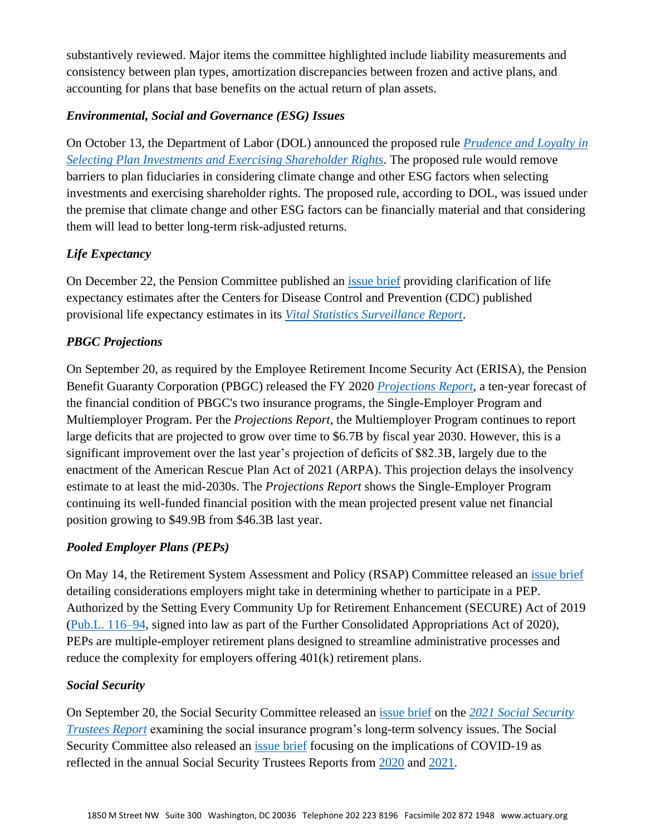substantively reviewed. Major items the committee highlighted include liability measurements and consistency between plan types, amortization discrepancies between frozen and active plans, and accounting for plans that base benefits on the actual return of plan assets.

## *Environmental, Social and Governance (ESG) Issues*

On October 13, the Department of Labor (DOL) announced the proposed rule *[Prudence and Loyalty in](https://www.govinfo.gov/content/pkg/FR-2021-10-14/pdf/2021-22263.pdf)  [Selecting Plan Investments and Exercising Shareholder Rights](https://www.govinfo.gov/content/pkg/FR-2021-10-14/pdf/2021-22263.pdf)*. The proposed rule would remove barriers to plan fiduciaries in considering climate change and other ESG factors when selecting investments and exercising shareholder rights. The proposed rule, according to DOL, was issued under the premise that climate change and other ESG factors can be financially material and that considering them will lead to better long-term risk-adjusted returns.

## *Life Expectancy*

On December 22, the Pension Committee published an [issue brief](https://www.actuary.org/sites/default/files/2021-12/LifeExpectancyIB12.21.pdf) providing clarification of life expectancy estimates after the Centers for Disease Control and Prevention (CDC) published provisional life expectancy estimates in its *[Vital Statistics Surveillance Report](https://www.cdc.gov/nchs/data/vsrr/vsrr015-508.pdf)*.

## *PBGC Projections*

On September 20, as required by the Employee Retirement Income Security Act (ERISA), the Pension Benefit Guaranty Corporation (PBGC) released the FY 2020 *[Projections Report](https://www.pbgc.gov/sites/default/files/documents/092021-fy2020-projrep.pdf)*, a ten-year forecast of the financial condition of PBGC's two insurance programs, the Single-Employer Program and Multiemployer Program. Per the *Projections Report*, the Multiemployer Program continues to report large deficits that are projected to grow over time to \$6.7B by fiscal year 2030. However, this is a significant improvement over the last year's projection of deficits of \$82.3B, largely due to the enactment of the American Rescue Plan Act of 2021 (ARPA). This projection delays the insolvency estimate to at least the mid-2030s. The *Projections Report* shows the Single-Employer Program continuing its well-funded financial position with the mean projected present value net financial position growing to \$49.9B from \$46.3B last year.

## *Pooled Employer Plans (PEPs)*

On May 14, the Retirement System Assessment and Policy (RSAP) Committee released an [issue brief](https://www.actuary.org/sites/default/files/2021-05/PooledEmployerPlans.5.2021.pdf) detailing considerations employers might take in determining whether to participate in a PEP. Authorized by the Setting Every Community Up for Retirement Enhancement (SECURE) Act of 2019 [\(Pub.L. 116–94,](https://www.congress.gov/116/bills/hr1994/BILLS-116hr1994rds.pdf) signed into law as part of the Further Consolidated Appropriations Act of 2020), PEPs are multiple-employer retirement plans designed to streamline administrative processes and reduce the complexity for employers offering 401(k) retirement plans.

#### *Social Security*

On September 20, the Social Security Committee released an [issue brief](https://www.actuary.org/sites/default/files/2021-09/2021_SocSec_TrusteeReport.pdf) on the *[2021 Social Security](https://www.ssa.gov/oact/TR/2021/tr2021.pdf)  [Trustees Report](https://www.ssa.gov/oact/TR/2021/tr2021.pdf)* examining the social insurance program's long-term solvency issues. The Social Security Committee also released an *issue brief* focusing on the implications of COVID-19 as reflected in the annual Social Security Trustees Reports from [2020](https://www.ssa.gov/oact/tr/2020/tr2020.pdf) and [2021.](https://www.ssa.gov/OACT/TR/2021/tr2021.pdf)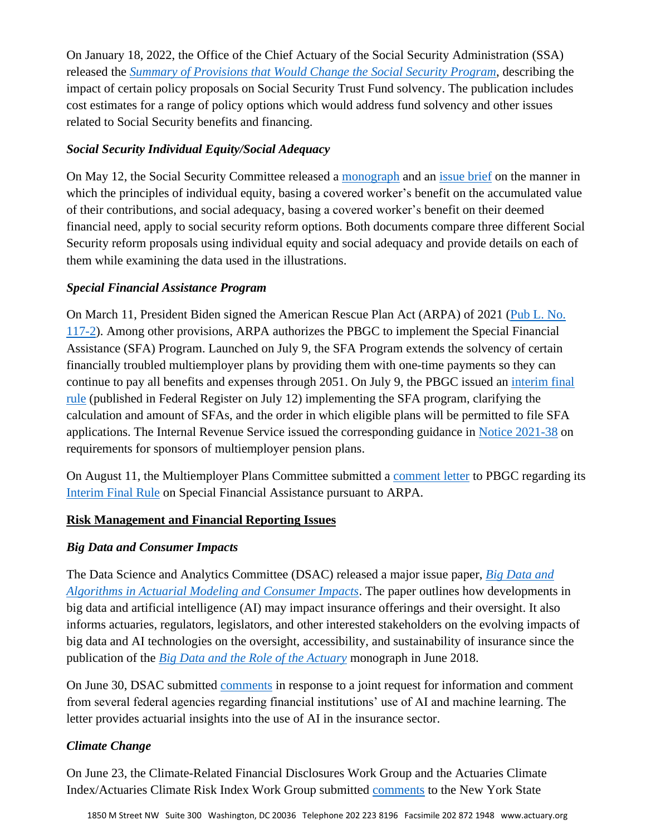On January 18, 2022, the Office of the Chief Actuary of the Social Security Administration (SSA) released the *[Summary of Provisions that Would Change the Social Security Program](https://www.ssa.gov/oact/solvency/provisions/summary.pdf)*, describing the impact of certain policy proposals on Social Security Trust Fund solvency. The publication includes cost estimates for a range of policy options which would address fund solvency and other issues related to Social Security benefits and financing.

## *Social Security Individual Equity/Social Adequacy*

On May 12, the Social Security Committee released a [monograph](https://www.actuary.org/sites/default/files/2021-03/IESA.monograph.3.11.21.pdf) and an [issue brief](https://www.actuary.org/sites/default/files/2021-03/IESA.IB_.3.11.21.pdf) on the manner in which the principles of individual equity, basing a covered worker's benefit on the accumulated value of their contributions, and social adequacy, basing a covered worker's benefit on their deemed financial need, apply to social security reform options. Both documents compare three different Social Security reform proposals using individual equity and social adequacy and provide details on each of them while examining the data used in the illustrations.

## *Special Financial Assistance Program*

On March 11, President Biden signed the American Rescue Plan Act (ARPA) of 2021 [\(Pub L. No.](https://www.congress.gov/117/plaws/publ2/PLAW-117publ2.pdf)  [117-2\)](https://www.congress.gov/117/plaws/publ2/PLAW-117publ2.pdf). Among other provisions, ARPA authorizes the PBGC to implement the Special Financial Assistance (SFA) Program. Launched on July 9, the SFA Program extends the solvency of certain financially troubled multiemployer plans by providing them with one-time payments so they can continue to pay all benefits and expenses through 2051. On July 9, the PBGC issued an [interim final](https://www.govinfo.gov/content/pkg/FR-2021-07-12/pdf/2021-14696.pdf)  [rule](https://www.govinfo.gov/content/pkg/FR-2021-07-12/pdf/2021-14696.pdf) (published in Federal Register on July 12) implementing the SFA program, clarifying the calculation and amount of SFAs, and the order in which eligible plans will be permitted to file SFA applications. The Internal Revenue Service issued the corresponding guidance in [Notice 2021-38](https://www.irs.gov/pub/irs-drop/n-21-38.pdf) on requirements for sponsors of multiemployer pension plans.

On August 11, the Multiemployer Plans Committee submitted a [comment letter](https://www.actuary.org/sites/default/files/2021-08/ARPA_IFR_SFA_Comments_PBGC_Academy_of_Actuaries_MEPC.pdf) to PBGC regarding its [Interim Final Rule](https://www.govinfo.gov/content/pkg/FR-2021-07-12/pdf/2021-14696.pdf) on Special Financial Assistance pursuant to ARPA.

## **Risk Management and Financial Reporting Issues**

## *Big Data and Consumer Impacts*

The Data Science and Analytics Committee (DSAC) released a major issue paper, *[Big Data and](https://www.actuary.org/sites/default/files/2021-11/BigData_and_Algorithms_in_Actuarial_Modeling_and_Consumer_Impacts.pdf)  [Algorithms in Actuarial Modeling and Consumer Impacts](https://www.actuary.org/sites/default/files/2021-11/BigData_and_Algorithms_in_Actuarial_Modeling_and_Consumer_Impacts.pdf)*. The paper outlines how developments in big data and artificial intelligence (AI) may impact insurance offerings and their oversight. It also informs actuaries, regulators, legislators, and other interested stakeholders on the evolving impacts of big data and AI technologies on the oversight, accessibility, and sustainability of insurance since the publication of the *[Big Data and the Role of the Actuary](https://www.actuary.org/sites/default/files/files/publications/BigDataAndTheRoleOfTheActuary.pdf)* monograph in June 2018.

On June 30, DSAC submitted [comments](https://www.actuary.org/sites/default/files/2021-06/DSAC_Comments_AI_06302021_0.pdf) in response to a joint request for information and comment from several federal agencies regarding financial institutions' use of AI and machine learning. The letter provides actuarial insights into the use of AI in the insurance sector.

## *Climate Change*

On June 23, the Climate-Related Financial Disclosures Work Group and the Actuaries Climate Index/Actuaries Climate Risk Index Work Group submitted [comments](https://www.actuary.org/sites/default/files/2021-06/AAA_Joint_Climate_Letter_NYS_DFS_062321.pdf) to the New York State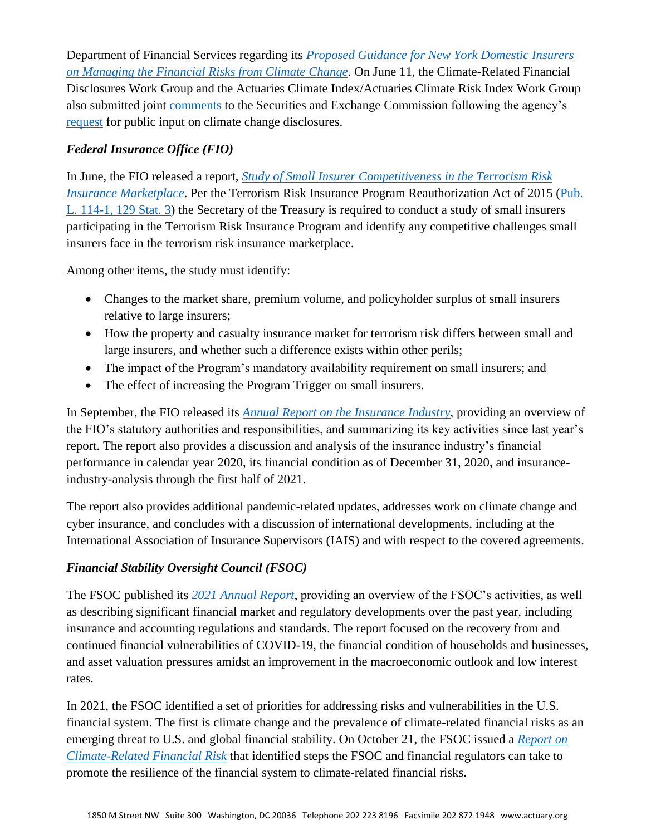Department of Financial Services regarding its *[Proposed Guidance for New York Domestic Insurers](https://us.eversheds-sutherland.com/portalresource/proposed_ins_climate_guidance_2021_public_comment_1.pdf)  [on Managing the Financial Risks from Climate Change](https://us.eversheds-sutherland.com/portalresource/proposed_ins_climate_guidance_2021_public_comment_1.pdf)*. On June 11, the Climate-Related Financial Disclosures Work Group and the Actuaries Climate Index/Actuaries Climate Risk Index Work Group also submitted joint [comments](https://www.actuary.org/sites/default/files/2021-06/AAA_Joint_Letter_to_SEC_Climate_Risks_061121.pdf) to the Securities and Exchange Commission following the agency's [request](https://www.sec.gov/news/public-statement/lee-climate-change-disclosures) for public input on climate change disclosures.

## *Federal Insurance Office (FIO)*

In June, the FIO released a report, *[Study of Small Insurer Competitiveness in the Terrorism Risk](https://home.treasury.gov/system/files/311/2021TRIPSmallInsurerReportJune2021.pdf)  [Insurance Marketplace](https://home.treasury.gov/system/files/311/2021TRIPSmallInsurerReportJune2021.pdf)*. Per the Terrorism Risk Insurance Program Reauthorization Act of 2015 [\(Pub.](https://www.govinfo.gov/content/pkg/BILLS-114hr26enr/html/BILLS-114hr26enr.htm)  [L. 114-1, 129 Stat. 3\)](https://www.govinfo.gov/content/pkg/BILLS-114hr26enr/html/BILLS-114hr26enr.htm) the Secretary of the Treasury is required to conduct a study of small insurers participating in the Terrorism Risk Insurance Program and identify any competitive challenges small insurers face in the terrorism risk insurance marketplace.

Among other items, the study must identify:

- Changes to the market share, premium volume, and policyholder surplus of small insurers relative to large insurers;
- How the property and casualty insurance market for terrorism risk differs between small and large insurers, and whether such a difference exists within other perils;
- The impact of the Program's mandatory availability requirement on small insurers; and
- The effect of increasing the Program Trigger on small insurers.

In September, the FIO released its *[Annual Report on the Insurance Industry](https://home.treasury.gov/system/files/311/FIO-2021-Annual-Report-Insurance-Industry.pdf)*, providing an overview of the FIO's statutory authorities and responsibilities, and summarizing its key activities since last year's report. The report also provides a discussion and analysis of the insurance industry's financial performance in calendar year 2020, its financial condition as of December 31, 2020, and insuranceindustry-analysis through the first half of 2021.

The report also provides additional pandemic-related updates, addresses work on climate change and cyber insurance, and concludes with a discussion of international developments, including at the International Association of Insurance Supervisors (IAIS) and with respect to the covered agreements.

## *Financial Stability Oversight Council (FSOC)*

The FSOC published its *[2021 Annual Report](https://home.treasury.gov/system/files/261/FSOC2021AnnualReport.pdf)*, providing an overview of the FSOC's activities, as well as describing significant financial market and regulatory developments over the past year, including insurance and accounting regulations and standards. The report focused on the recovery from and continued financial vulnerabilities of COVID-19, the financial condition of households and businesses, and asset valuation pressures amidst an improvement in the macroeconomic outlook and low interest rates.

In 2021, the FSOC identified a set of priorities for addressing risks and vulnerabilities in the U.S. financial system. The first is climate change and the prevalence of climate-related financial risks as an emerging threat to U.S. and global financial stability. On October 21, the FSOC issued a *[Report on](https://home.treasury.gov/system/files/261/FSOC-Climate-Report.pdf)  [Climate-Related Financial Risk](https://home.treasury.gov/system/files/261/FSOC-Climate-Report.pdf)* that identified steps the FSOC and financial regulators can take to promote the resilience of the financial system to climate-related financial risks.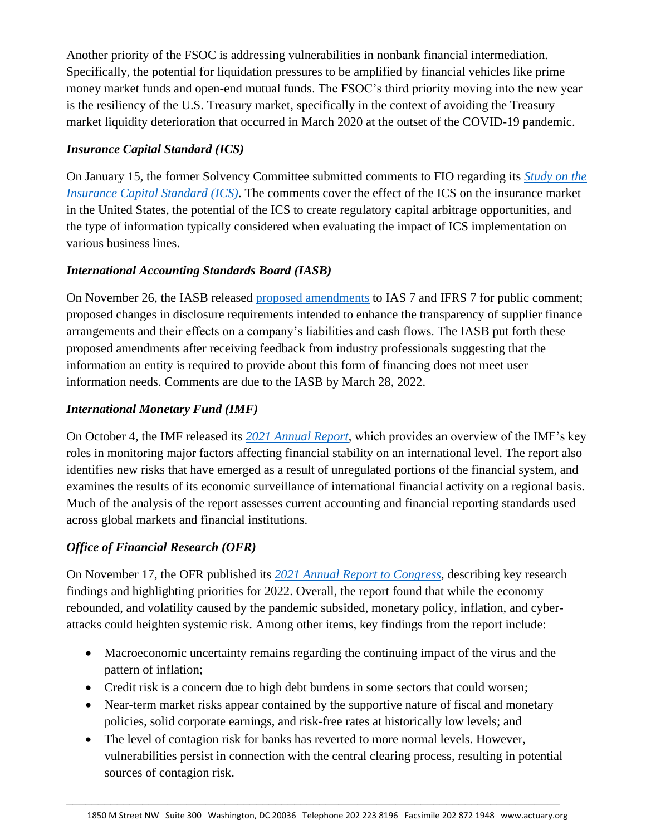Another priority of the FSOC is addressing vulnerabilities in nonbank financial intermediation. Specifically, the potential for liquidation pressures to be amplified by financial vehicles like prime money market funds and open-end mutual funds. The FSOC's third priority moving into the new year is the resiliency of the U.S. Treasury market, specifically in the context of avoiding the Treasury market liquidity deterioration that occurred in March 2020 at the outset of the COVID-19 pandemic.

## *Insurance Capital Standard (ICS)*

On January 15, the former Solvency Committee submitted comments to FIO regarding its *[Study on the](https://www.govinfo.gov/content/pkg/FR-2020-10-09/pdf/2020-22384.pdf)  [Insurance Capital Standard \(ICS\)](https://www.govinfo.gov/content/pkg/FR-2020-10-09/pdf/2020-22384.pdf)*. The comments cover the effect of the ICS on the insurance market in the United States, the potential of the ICS to create regulatory capital arbitrage opportunities, and the type of information typically considered when evaluating the impact of ICS implementation on various business lines.

## *International Accounting Standards Board (IASB)*

On November 26, the IASB released [proposed amendments](https://www.ifrs.org/content/dam/ifrs/project/supplier-finance-arrangements/ed-2021-10-sfa.pdf) to IAS 7 and IFRS 7 for public comment; proposed changes in disclosure requirements intended to enhance the transparency of supplier finance arrangements and their effects on a company's liabilities and cash flows. The IASB put forth these proposed amendments after receiving feedback from industry professionals suggesting that the information an entity is required to provide about this form of financing does not meet user information needs. Comments are due to the IASB by March 28, 2022.

## *International Monetary Fund (IMF)*

On October 4, the IMF released its *[2021 Annual Report](https://www.imf.org/external/pubs/ft/ar/2021/eng/downloads/imf-annual-report-2021.pdf)*, which provides an overview of the IMF's key roles in monitoring major factors affecting financial stability on an international level. The report also identifies new risks that have emerged as a result of unregulated portions of the financial system, and examines the results of its economic surveillance of international financial activity on a regional basis. Much of the analysis of the report assesses current accounting and financial reporting standards used across global markets and financial institutions.

## *Office of Financial Research (OFR)*

On November 17, the OFR published its *[2021 Annual Report to Congress](https://www.financialresearch.gov/annual-reports/files/OFR-Annual-Report-2021.pdf)*, describing key research findings and highlighting priorities for 2022. Overall, the report found that while the economy rebounded, and volatility caused by the pandemic subsided, monetary policy, inflation, and cyberattacks could heighten systemic risk. Among other items, key findings from the report include:

- Macroeconomic uncertainty remains regarding the continuing impact of the virus and the pattern of inflation;
- Credit risk is a concern due to high debt burdens in some sectors that could worsen;
- Near-term market risks appear contained by the supportive nature of fiscal and monetary policies, solid corporate earnings, and risk-free rates at historically low levels; and
- The level of contagion risk for banks has reverted to more normal levels. However, vulnerabilities persist in connection with the central clearing process, resulting in potential sources of contagion risk.

\_\_\_\_\_\_\_\_\_\_\_\_\_\_\_\_\_\_\_\_\_\_\_\_\_\_\_\_\_\_\_\_\_\_\_\_\_\_\_\_\_\_\_\_\_\_\_\_\_\_\_\_\_\_\_\_\_\_\_\_\_\_\_\_\_\_\_\_\_\_\_\_\_\_\_\_\_\_